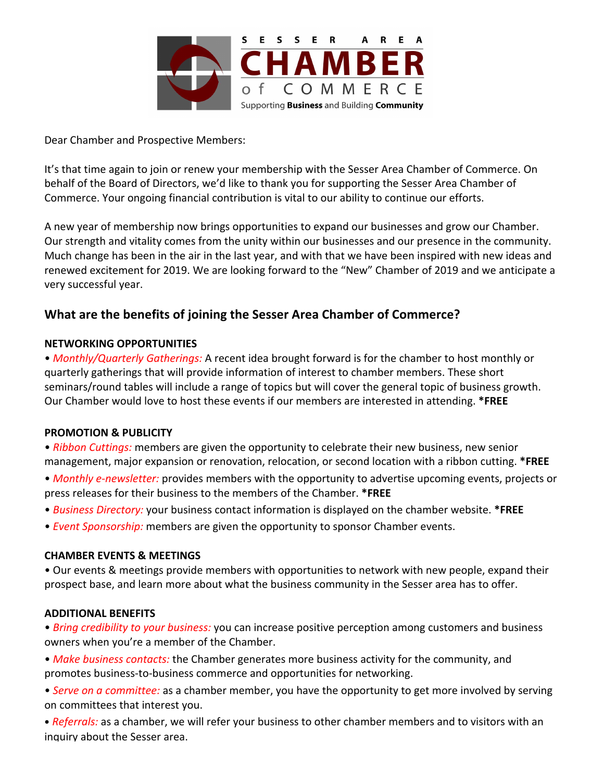

Dear Chamber and Prospective Members:

It's that time again to join or renew your membership with the Sesser Area Chamber of Commerce. On behalf of the Board of Directors, we'd like to thank you for supporting the Sesser Area Chamber of Commerce. Your ongoing financial contribution is vital to our ability to continue our efforts.

A new year of membership now brings opportunities to expand our businesses and grow our Chamber. Our strength and vitality comes from the unity within our businesses and our presence in the community. Much change has been in the air in the last year, and with that we have been inspired with new ideas and renewed excitement for 2019. We are looking forward to the "New" Chamber of 2019 and we anticipate a very successful year.

## **What are the benefits of joining the Sesser Area Chamber of Commerce?**

### **NETWORKING OPPORTUNITIES**

• *Monthly/Quarterly Gatherings:* A recent idea brought forward is for the chamber to host monthly or quarterly gatherings that will provide information of interest to chamber members. These short seminars/round tables will include a range of topics but will cover the general topic of business growth. Our Chamber would love to host these events if our members are interested in attending. \*FREE

### **PROMOTION & PUBLICITY**

- *Ribbon Cuttings:* members are given the opportunity to celebrate their new business, new senior management, major expansion or renovation, relocation, or second location with a ribbon cutting. \*FREE
- *Monthly e-newsletter:* provides members with the opportunity to advertise upcoming events, projects or press releases for their business to the members of the Chamber. \*FREE
- *Business Directory:* your business contact information is displayed on the chamber website. \*FREE
- *Event Sponsorship:* members are given the opportunity to sponsor Chamber events.

### **CHAMBER EVENTS & MEETINGS**

• Our events & meetings provide members with opportunities to network with new people, expand their prospect base, and learn more about what the business community in the Sesser area has to offer.

### **ADDITIONAL BENEFITS**

- *Bring credibility to your business:* you can increase positive perception among customers and business owners when you're a member of the Chamber.
- *Make business contacts:* the Chamber generates more business activity for the community, and promotes business-to-business commerce and opportunities for networking.
- Serve on a committee: as a chamber member, you have the opportunity to get more involved by serving on committees that interest you.
- *Referrals:* as a chamber, we will refer your business to other chamber members and to visitors with an inquiry about the Sesser area.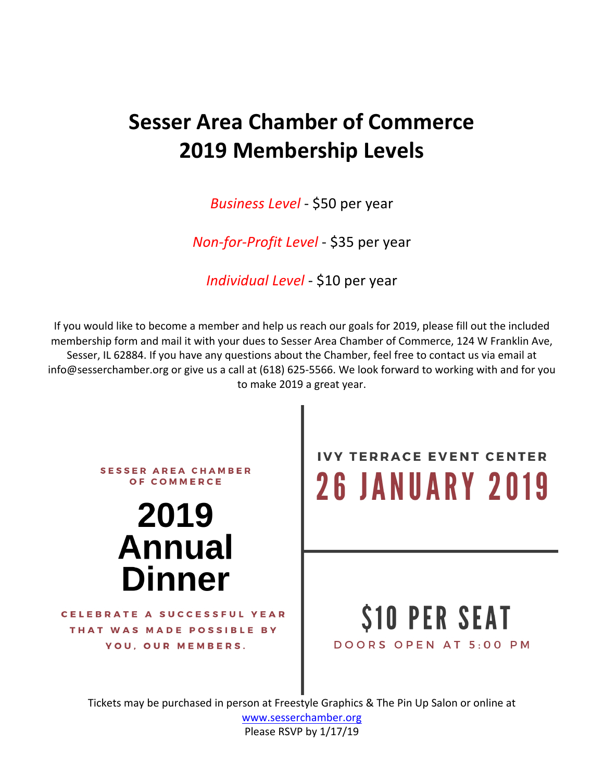# **Sesser Area Chamber of Commerce 2019 Membership Levels**

*Business Level* - \$50 per year

*Non-for-Profit Level - \$35 per year* 

*Individual Level - \$10 per year* 

If you would like to become a member and help us reach our goals for 2019, please fill out the included membership form and mail it with your dues to Sesser Area Chamber of Commerce, 124 W Franklin Ave, Sesser, IL 62884. If you have any questions about the Chamber, feel free to contact us via email at info@sesserchamber.org or give us a call at (618) 625-5566. We look forward to working with and for you to make 2019 a great year.



www.sesserchamber.org Please RSVP by 1/17/19